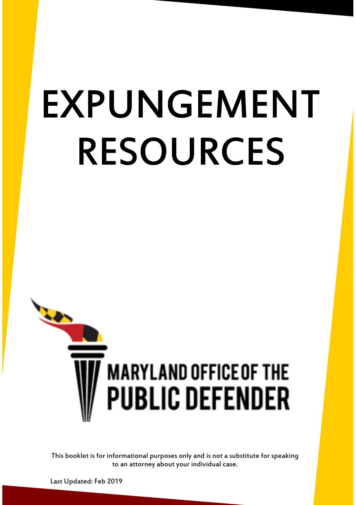# EXPUNGEMENT RESOURCES



This booklet is for informational purposes only and is not a substitute for speaking to an attorney about your individual case.

Last Updated: Feb 2019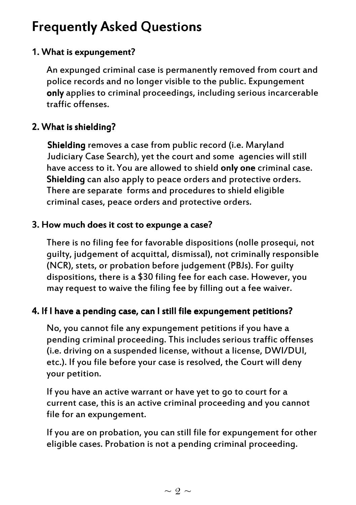# **Frequently Asked Questions**

# 1. What is expungement?

An expunged criminal case is permanently removed from court and police records and no longer visible to the public. Expungement only applies to criminal proceedings, including serious incarcerable traffic offenses.

# 2. What is shielding?

Shielding removes a case from public record (i.e. Maryland Judiciary Case Search), yet the court and some agencies will still have access to it. You are allowed to shield only one criminal case. Shielding can also apply to peace orders and protective orders. There are separate forms and procedures to shield eligible criminal cases, peace orders and protective orders.

# 3. How much does it cost to expunge a case?

There is no filing fee for favorable dispositions (nolle prosequi, not guilty, judgement of acquittal, dismissal), not criminally responsible (NCR), stets, or probation before judgement (PBJs). For guilty dispositions, there is a \$30 filing fee for each case. However, you may request to waive the filing fee by filling out a fee waiver.

# 4. If I have a pending case, can I still file expungement petitions?

No, you cannot file any expungement petitions if you have a pending criminal proceeding. This includes serious traffic offenses (i.e. driving on a suspended license, without a license, DWI/DUI, etc.). If you file before your case is resolved, the Court will deny your petition.

If you have an active warrant or have yet to go to court for a current case, this is an active criminal proceeding and you cannot file for an expungement.

If you are on probation, you can still file for expungement for other eligible cases. Probation is not a pending criminal proceeding.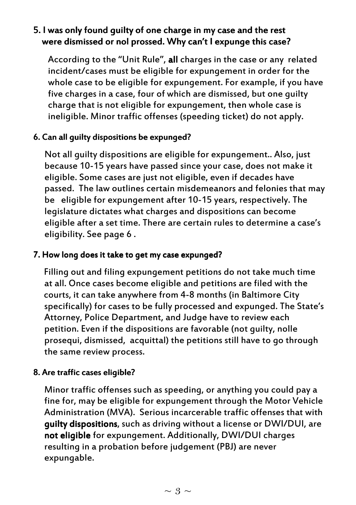# 5. I was only found quilty of one charge in my case and the rest were dismissed or nol prossed. Why can't I expunge this case?

According to the "Unit Rule", all charges in the case or any related incident/cases must be eligible for expungement in order for the whole case to be eligible for expungement. For example, if you have five charges in a case, four of which are dismissed, but one guilty charge that is not eligible for expungement, then whole case is ineligible. Minor traffic offenses (speeding ticket) do not apply.

# 6. Can all quilty dispositions be expunged?

Not all guilty dispositions are eligible for expungement.. Also, just because 10-15 years have passed since your case, does not make it eligible. Some cases are just not eligible, even if decades have passed. The law outlines certain misdemeanors and felonies that may be eligible for expungement after 10-15 years, respectively. The legislature dictates what charges and dispositions can become eligible after a set time. There are certain rules to determine a case's eligibility. See page 6 .

# 7. How long does it take to get my case expunged?

Filling out and filing expungement petitions do not take much time at all. Once cases become eligible and petitions are filed with the courts, it can take anywhere from 4-8 months (in Baltimore City specifically) for cases to be fully processed and expunged. The State's Attorney, Police Department, and Judge have to review each petition. Even if the dispositions are favorable (not guilty, nolle prosequi, dismissed, acquittal) the petitions still have to go through the same review process.

# 8. Are traffic cases eligible?

Minor traffic offenses such as speeding, or anything you could pay a fine for, may be eligible for expungement through the Motor Vehicle Administration (MVA). Serious incarcerable traffic offenses that with **quilty dispositions**, such as driving without a license or DWI/DUI, are not eligible for expungement. Additionally, DWI/DUI charges resulting in a probation before judgement (PBJ) are never expungable.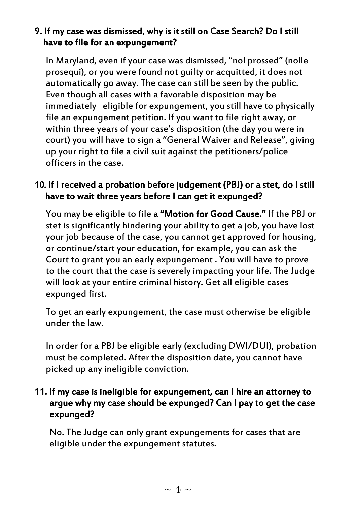# 9. If my case was dismissed, why is it still on Case Search? Do I still have to file for an expungement?

In Maryland, even if your case was dismissed, "nol prossed" (nolle prosequi), or you were found not guilty or acquitted, it does not automatically go away. The case can still be seen by the public. Even though all cases with a favorable disposition may be immediately eligible for expungement, you still have to physically file an expungement petition. If you want to file right away, or within three years of your case's disposition (the day you were in court) you will have to sign a "General Waiver and Release", giving up your right to file a civil suit against the petitioners/police officers in the case.

# 10. If I received a probation before judgement (PBJ) or a stet, do I still have to wait three years before I can get it expunged?

You may be eligible to file a "Motion for Good Cause." If the PBJ or stet is significantly hindering your ability to get a job, you have lost your job because of the case, you cannot get approved for housing, or continue/start your education, for example, you can ask the Court to grant you an early expungement . You will have to prove to the court that the case is severely impacting your life. The Judge will look at your entire criminal history. Get all eligible cases expunged first.

To get an early expungement, the case must otherwise be eligible under the law.

In order for a PBJ be eligible early (excluding DWI/DUI), probation must be completed. After the disposition date, you cannot have picked up any ineligible conviction.

# 11. If my case is ineligible for expungement, can I hire an attorney to arque why my case should be expunged? Can I pay to get the case expunged?

No. The Judge can only grant expungements for cases that are eligible under the expungement statutes.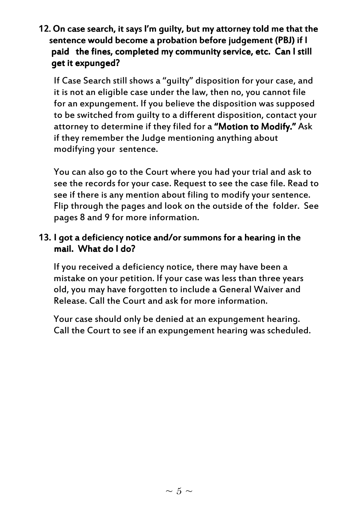12. On case search, it says I'm quilty, but my attorney told me that the sentence would become a probation before judgement (PBJ) if I paid the fines, completed my community service, etc. Can I still get it expunged?

If Case Search still shows a "guilty" disposition for your case, and it is not an eligible case under the law, then no, you cannot file for an expungement. If you believe the disposition was supposed to be switched from guilty to a different disposition, contact your attorney to determine if they filed for a "Motion to Modify." Ask if they remember the Judge mentioning anything about modifying your sentence.

You can also go to the Court where you had your trial and ask to see the records for your case. Request to see the case file. Read to see if there is any mention about filing to modify your sentence. Flip through the pages and look on the outside of the folder. See pages 8 and 9 for more information.

# 13. I got a deficiency notice and/or summons for a hearing in the mail. What do I do?

If you received a deficiency notice, there may have been a mistake on your petition. If your case was less than three years old, you may have forgotten to include a General Waiver and Release. Call the Court and ask for more information.

Your case should only be denied at an expungement hearing. Call the Court to see if an expungement hearing was scheduled.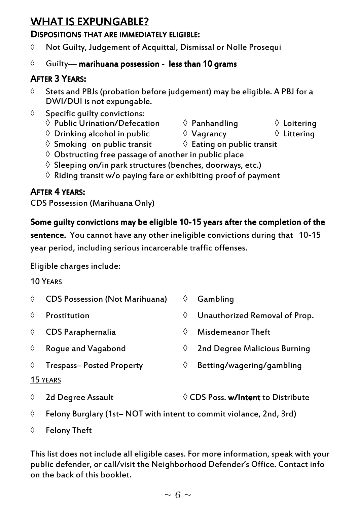# WHAT IS EXPUNGABLE?

### DISPOSITIONS THAT ARE IMMEDIATELY ELIGIBLE:

◊ Not Guilty, Judgement of Acquittal, Dismissal or Nolle Prosequi

# ↑ Guilty— marihuana possession - less than 10 grams

# **AFTER 3 YEARS:**

- ◊ Stets and PBJs (probation before judgement) may be eligible. A PBJ for a DWI/DUI is not expungable.
- ◊ Specific guilty convictions:
	- $\begin{array}{ccc}\n\Diamond \ \textsf{Public Union/Defection} & \Diamond \ \textsf{Panhandling} & \Diamond \ \textsf{Loitering} \\
	\Diamond \ \textsf{Drinking alcohol in public} & \Diamond \ \textsf{Vagrancy} & \Diamond \ \textsf{Littering}\n\end{array}$
	- $\Diamond$  Drinking alcohol in public
	- $\Diamond$  Smoking on public transit  $\Diamond$  Eating on public transit
	- $\diamond$  Obstructing free passage of another in public place
	- $\Diamond$  Sleeping on/in park structures (benches, doorways, etc.)
	- $\Diamond$  Riding transit w/o paying fare or exhibiting proof of payment

# **AFTER 4 YEARS:**

CDS Possession (Marihuana Only)

# Some quilty convictions may be eligible 10-15 years after the completion of the

sentence. You cannot have any other ineligible convictions during that 10-15 year period, including serious incarcerable traffic offenses.

Eligible charges include:

### 10 YEARS

◊ CDS Possession (Not Marihuana) ◊ Gambling ◊ Prostitution ◊ Unauthorized Removal of Prop. ◊ CDS Paraphernalia ◊ Misdemeanor Theft  $\Diamond$  Roque and Vagabond  $\Diamond$  2nd Degree Malicious Burning ◊ Trespass– Posted Property ◊ Betting/wagering/gambling

### 15 YEARS

- ◊ 2d Degree Assault ◊ CDS Poss. w/Intent w/Intent to Distribute
- ◊ Felony Burglary (1st– NOT with intent to commit violance, 2nd, 3rd)

◊ Felony Theft

This list does not include all eligible cases. For more information, speak with your public defender, or call/visit the Neighborhood Defender's Office. Contact info on the back of this booklet.

- 
- 
- 

- 
-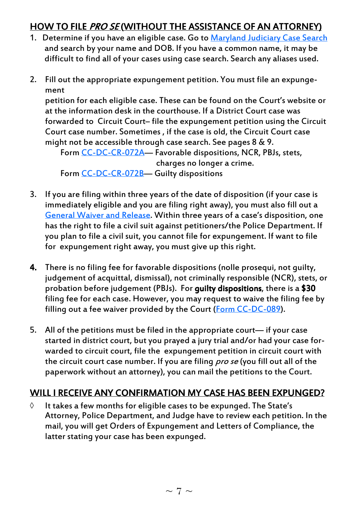# HOW TO FILE PRO SE (WITHOUT THE ASSISTANCE OF AN ATTORNEY)

- 1. Determine if you have an eligible case. Go to Maryland Judiciary Case Search and search by your name and DOB. If you have a common name, it may be difficult to find all of your cases using case search. Search any aliases used.
- 2. Fill out the appropriate expungement petition. You must file an expungement

petition for each eligible case. These can be found on the Court's website or at the information desk in the courthouse. If a District Court case was forwarded to Circuit Court– file the expungement petition using the Circuit Court case number. Sometimes , if the case is old, the Circuit Court case might not be accessible through case search. See pages 8 & 9.

Form CC-DC-CR-072A— Favorable dispositions, NCR, PBJs, stets, charges no longer a crime. Form CC-DC-CR-072B- Guilty dispositions

- 3. If you are filing within three years of the date of disposition (if your case is immediately eligible and you are filing right away), you must also fill out a General Waiver and Release. Within three years of a case's disposition, one has the right to file a civil suit against petitioners/the Police Department. If you plan to file a civil suit, you cannot file for expungement. If want to file for expungement right away, you must give up this right.
- 4. There is no filing fee for favorable dispositions (nolle prosequi, not guilty, judgement of acquittal, dismissal), not criminally responsible (NCR), stets, or probation before judgement (PBJs). For **quilty dispositions**, there is a  $$30$ filing fee for each case. However, you may request to waive the filing fee by filling out a fee waiver provided by the Court (Form CC-DC-089).
- 5. All of the petitions must be filed in the appropriate court— if your case started in district court, but you prayed a jury trial and/or had your case forwarded to circuit court, file the expungement petition in circuit court with the circuit court case number. If you are filing pro se (you fill out all of the paperwork without an attorney), you can mail the petitions to the Court.

# WILL I RECEIVE ANY CONFIRMATION MY CASE HAS BEEN EXPUNGED?

◊ It takes a few months for eligible cases to be expunged. The State's Attorney, Police Department, and Judge have to review each petition. In the mail, you will get Orders of Expungement and Letters of Compliance, the latter stating your case has been expunged.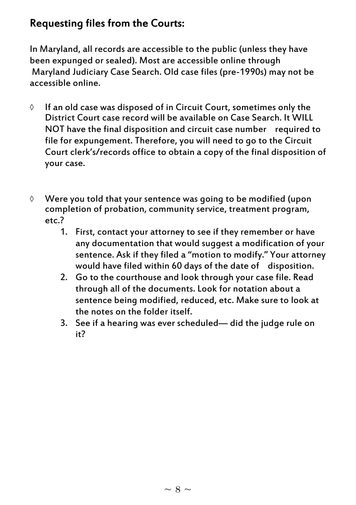# Requesting files from the Courts:

In Maryland, all records are accessible to the public (unless they have been expunged or sealed). Most are accessible online through Maryland Judiciary Case Search. Old case files (pre-1990s) may not be accessible online.

- ◊ If an old case was disposed of in Circuit Court, sometimes only the District Court case record will be available on Case Search. It WILL NOT have the final disposition and circuit case number required to file for expungement. Therefore, you will need to go to the Circuit Court clerk's/records office to obtain a copy of the final disposition of your case.
- ◊ Were you told that your sentence was going to be modified (upon completion of probation, community service, treatment program, etc.?
	- 1. First, contact your attorney to see if they remember or have any documentation that would suggest a modification of your sentence. Ask if they filed a "motion to modify." Your attorney would have filed within 60 days of the date of disposition.
	- 2. Go to the courthouse and look through your case file. Read through all of the documents. Look for notation about a sentence being modified, reduced, etc. Make sure to look at the notes on the folder itself.
	- 3. See if a hearing was ever scheduled— did the judge rule on it?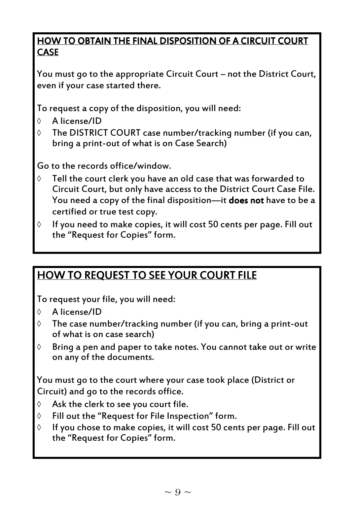# HOW TO OBTAIN THE FINAL DISPOSITION OF A CIRCUIT COURT **CASE**

You must go to the appropriate Circuit Court – not the District Court, even if your case started there.

To request a copy of the disposition, you will need:

- ◊ A license/ID
- ◊ The DISTRICT COURT case number/tracking number (if you can, bring a print-out of what is on Case Search)

Go to the records office/window.

- ◊ Tell the court clerk you have an old case that was forwarded to Circuit Court, but only have access to the District Court Case File. You need a copy of the final disposition—it does not have to be a certified or true test copy.
- $\Diamond$  If you need to make copies, it will cost 50 cents per page. Fill out the "Request for Copies" form.

# HOW TO REQUEST TO SEE YOUR COURT FILE

To request your file, you will need:

- ◊ A license/ID
- ◊ The case number/tracking number (if you can, bring a print-out of what is on case search)
- ◊ Bring a pen and paper to take notes. You cannot take out or write on any of the documents.

You must go to the court where your case took place (District or Circuit) and go to the records office.

- $\Diamond$  Ask the clerk to see you court file.
- ◊ Fill out the "Request for File Inspection" form.
- ◊ If you chose to make copies, it will cost 50 cents per page. Fill out the "Request for Copies" form.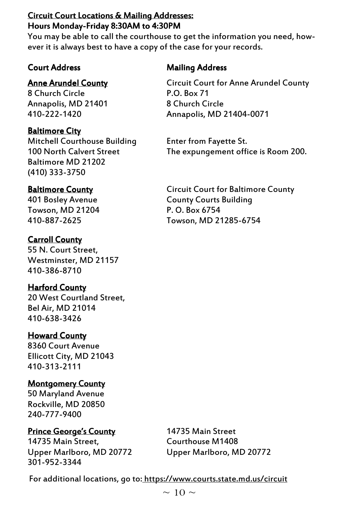# Circuit Court Locations & Mailing Addresses: Hours Monday-Friday 8:30AM to 4:30PM

You may be able to call the courthouse to get the information you need, however it is always best to have a copy of the case for your records.

# Court Address **Address Mailing Address** Mailing Address

# **Anne Arundel County**

8 Church Circle Annapolis, MD 21401 410-222-1420

# Baltimore City

Mitchell Courthouse Building 100 North Calvert Street Baltimore MD 21202 (410) 333-3750

# Baltimore County

401 Bosley Avenue Towson, MD 21204 410-887-2625

# Carroll County

55 N. Court Street, Westminster, MD 21157 410-386-8710

# **Harford County**

20 West Courtland Street, Bel Air, MD 21014 410-638-3426

# **Howard County**

8360 Court Avenue Ellicott City, MD 21043 410-313-2111

# **Montgomery County**

50 Maryland Avenue Rockville, MD 20850 240-777-9400

# **Prince George's County**

14735 Main Street, Upper Marlboro, MD 20772 301-952-3344

14735 Main Street Courthouse M1408 Upper Marlboro, MD 20772

Circuit Court for Anne Arundel County P.O. Box 71 8 Church Circle Annapolis, MD 21404-0071

Enter from Fayette St. The expungement office is Room 200.

Circuit Court for Baltimore County County Courts Building P. O. Box 6754 Towson, MD 21285-6754

For additional locations, go to: https://www.courts.state.md.us/circuit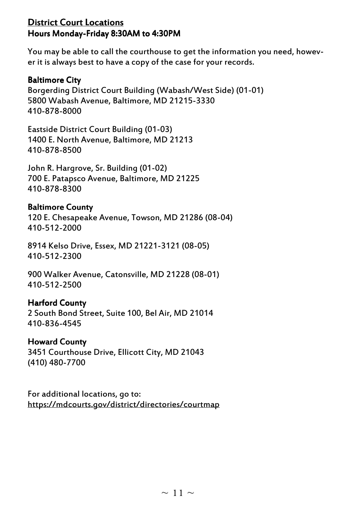# **District Court Locations** Hours Monday-Friday 8:30AM to 4:30PM

You may be able to call the courthouse to get the information you need, however it is always best to have a copy of the case for your records.

### Baltimore City

Borgerding District Court Building (Wabash/West Side) (01-01) 5800 Wabash Avenue, Baltimore, MD 21215-3330 410-878-8000

Eastside District Court Building (01-03) 1400 E. North Avenue, Baltimore, MD 21213 410-878-8500

John R. Hargrove, Sr. Building (01-02) 700 E. Patapsco Avenue, Baltimore, MD 21225 410-878-8300

### Baltimore County

120 E. Chesapeake Avenue, Towson, MD 21286 (08-04) 410-512-2000

8914 Kelso Drive, Essex, MD 21221-3121 (08-05) 410-512-2300

900 Walker Avenue, Catonsville, MD 21228 (08-01) 410-512-2500

### Harford County

2 South Bond Street, Suite 100, Bel Air, MD 21014 410-836-4545

### Howard County Howard County

3451 Courthouse Drive, Ellicott City, MD 21043 (410) 480-7700

For additional locations, go to: https://mdcourts.gov/district/directories/courtmap